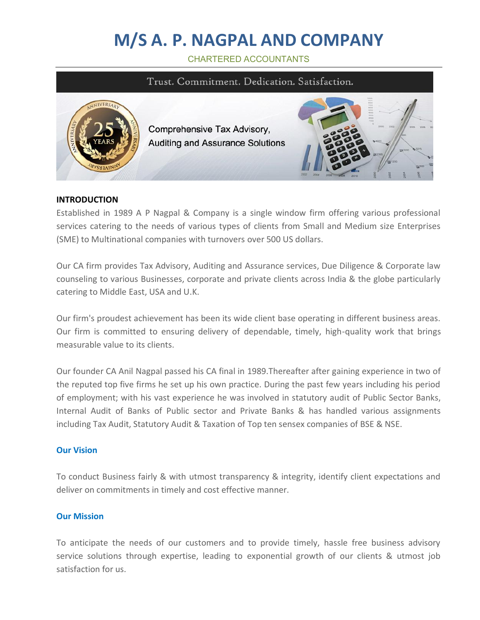CHARTERED ACCOUNTANTS

### Trust. Commitment. Dedication. Satisfaction.



#### **INTRODUCTION**

Established in 1989 A P Nagpal & Company is a single window firm offering various professional services catering to the needs of various types of clients from Small and Medium size Enterprises (SME) to Multinational companies with turnovers over 500 US dollars.

Our CA firm provides Tax Advisory, Auditing and Assurance services, Due Diligence & Corporate law counseling to various Businesses, corporate and private clients across India & the globe particularly catering to Middle East, USA and U.K.

Our firm's proudest achievement has been its wide client base operating in different business areas. Our firm is committed to ensuring delivery of dependable, timely, high-quality work that brings measurable value to its clients.

Our founder CA Anil Nagpal passed his CA final in 1989.Thereafter after gaining experience in two of the reputed top five firms he set up his own practice. During the past few years including his period of employment; with his vast experience he was involved in statutory audit of Public Sector Banks, Internal Audit of Banks of Public sector and Private Banks & has handled various assignments including Tax Audit, Statutory Audit & Taxation of Top ten sensex companies of BSE & NSE.

#### **Our Vision**

To conduct Business fairly & with utmost transparency & integrity, identify client expectations and deliver on commitments in timely and cost effective manner.

#### **Our Mission**

To anticipate the needs of our customers and to provide timely, hassle free business advisory service solutions through expertise, leading to exponential growth of our clients & utmost job satisfaction for us.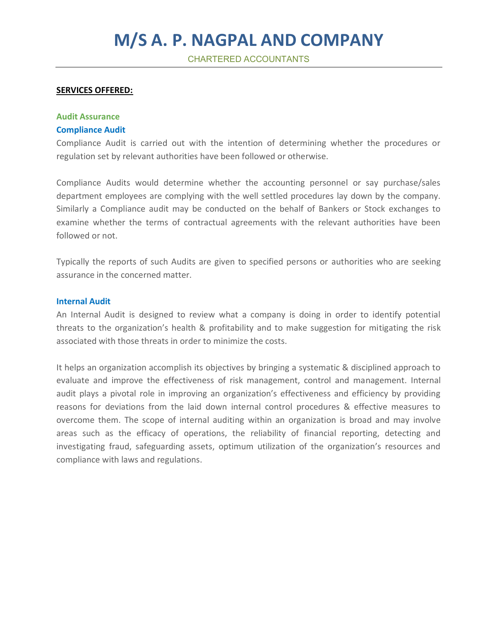CHARTERED ACCOUNTANTS

#### **SERVICES OFFERED:**

### **Audit Assurance Compliance Audit**

Compliance Audit is carried out with the intention of determining whether the procedures or regulation set by relevant authorities have been followed or otherwise.

Compliance Audits would determine whether the accounting personnel or say purchase/sales department employees are complying with the well settled procedures lay down by the company. Similarly a Compliance audit may be conducted on the behalf of Bankers or Stock exchanges to examine whether the terms of contractual agreements with the relevant authorities have been followed or not.

Typically the reports of such Audits are given to specified persons or authorities who are seeking assurance in the concerned matter.

#### **Internal Audit**

An Internal Audit is designed to review what a company is doing in order to identify potential threats to the organization's health & profitability and to make suggestion for mitigating the risk associated with those threats in order to minimize the costs.

It helps an organization accomplish its objectives by bringing a systematic & disciplined approach to evaluate and improve the effectiveness of risk management, control and management. Internal audit plays a pivotal role in improving an organization's effectiveness and efficiency by providing reasons for deviations from the laid down internal control procedures & effective measures to overcome them. The scope of internal auditing within an organization is broad and may involve areas such as the efficacy of operations, the reliability of financial reporting, detecting and investigating fraud, safeguarding assets, optimum utilization of the organization's resources and compliance with laws and regulations.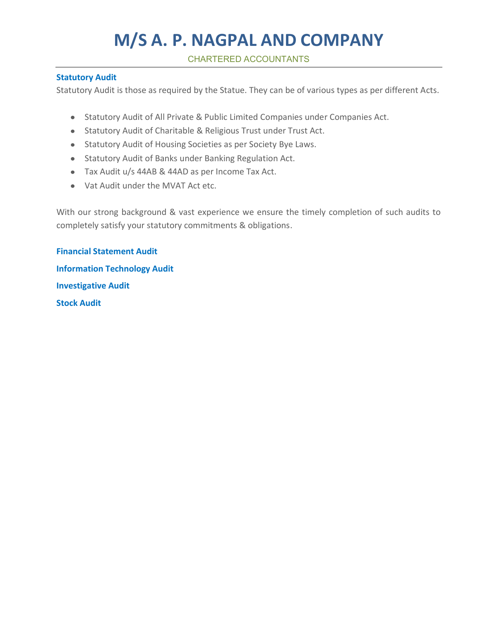CHARTERED ACCOUNTANTS

### **Statutory Audit**

Statutory Audit is those as required by the Statue. They can be of various types as per different Acts.

- **Statutory Audit of All Private & Public Limited Companies under Companies Act.**
- **•** Statutory Audit of Charitable & Religious Trust under Trust Act.
- Statutory Audit of Housing Societies as per Society Bye Laws.
- Statutory Audit of Banks under Banking Regulation Act.
- Tax Audit u/s 44AB & 44AD as per Income Tax Act.
- Vat Audit under the MVAT Act etc.

With our strong background & vast experience we ensure the timely completion of such audits to completely satisfy your statutory commitments & obligations.

**Financial Statement Audit Information Technology Audit Investigative Audit Stock Audit**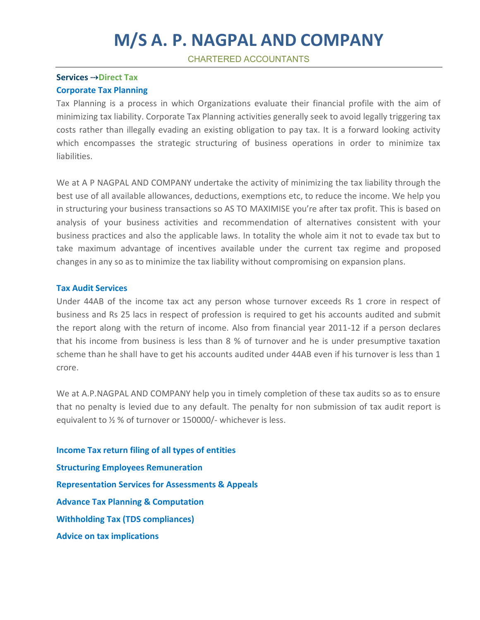CHARTERED ACCOUNTANTS

## **Services** ⇢**Direct Tax Corporate Tax Planning**

Tax Planning is a process in which Organizations evaluate their financial profile with the aim of minimizing tax liability. Corporate Tax Planning activities generally seek to avoid legally triggering tax costs rather than illegally evading an existing obligation to pay tax. It is a forward looking activity which encompasses the strategic structuring of business operations in order to minimize tax liabilities.

We at A P NAGPAL AND COMPANY undertake the activity of minimizing the tax liability through the best use of all available allowances, deductions, exemptions etc, to reduce the income. We help you in structuring your business transactions so AS TO MAXIMISE you're after tax profit. This is based on analysis of your business activities and recommendation of alternatives consistent with your business practices and also the applicable laws. In totality the whole aim it not to evade tax but to take maximum advantage of incentives available under the current tax regime and proposed changes in any so as to minimize the tax liability without compromising on expansion plans.

#### **Tax Audit Services**

Under 44AB of the income tax act any person whose turnover exceeds Rs 1 crore in respect of business and Rs 25 lacs in respect of profession is required to get his accounts audited and submit the report along with the return of income. Also from financial year 2011-12 if a person declares that his income from business is less than 8 % of turnover and he is under presumptive taxation scheme than he shall have to get his accounts audited under 44AB even if his turnover is less than 1 crore.

We at A.P.NAGPAL AND COMPANY help you in timely completion of these tax audits so as to ensure that no penalty is levied due to any default. The penalty for non submission of tax audit report is equivalent to ½ % of turnover or 150000/- whichever is less.

**Income Tax return filing of all types of entities Structuring Employees Remuneration Representation Services for Assessments & Appeals Advance Tax Planning & Computation Withholding Tax (TDS compliances) Advice on tax implications**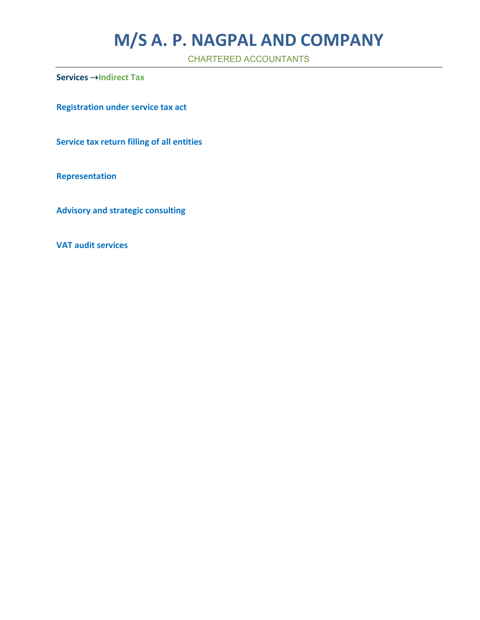CHARTERED ACCOUNTANTS

**Services** ⇢**Indirect Tax**

**Registration under service tax act**

**Service tax return filling of all entities**

**Representation**

**Advisory and strategic consulting**

**VAT audit services**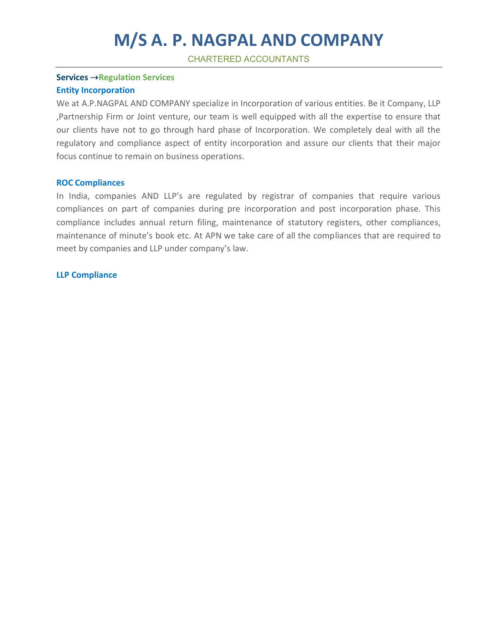CHARTERED ACCOUNTANTS

## **Services** ⇢**Regulation Services Entity Incorporation**

We at A.P.NAGPAL AND COMPANY specialize in Incorporation of various entities. Be it Company, LLP ,Partnership Firm or Joint venture, our team is well equipped with all the expertise to ensure that our clients have not to go through hard phase of Incorporation. We completely deal with all the regulatory and compliance aspect of entity incorporation and assure our clients that their major focus continue to remain on business operations.

#### **ROC Compliances**

In India, companies AND LLP's are regulated by registrar of companies that require various compliances on part of companies during pre incorporation and post incorporation phase. This compliance includes annual return filing, maintenance of statutory registers, other compliances, maintenance of minute's book etc. At APN we take care of all the compliances that are required to meet by companies and LLP under company's law.

#### **LLP Compliance**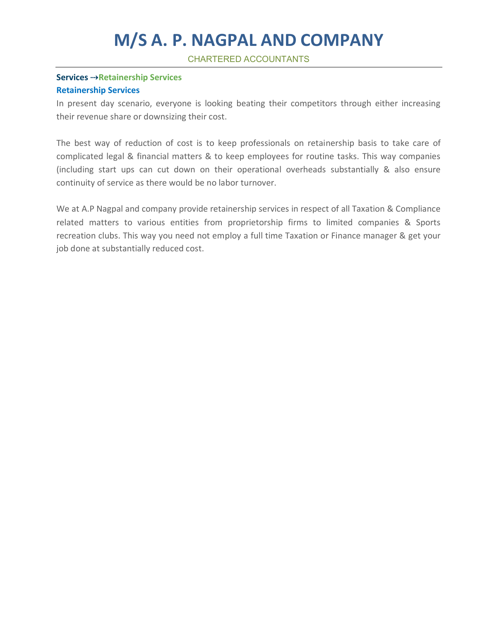CHARTERED ACCOUNTANTS

### **Services** ⇢**Retainership Services Retainership Services**

In present day scenario, everyone is looking beating their competitors through either increasing their revenue share or downsizing their cost.

The best way of reduction of cost is to keep professionals on retainership basis to take care of complicated legal & financial matters & to keep employees for routine tasks. This way companies (including start ups can cut down on their operational overheads substantially & also ensure continuity of service as there would be no labor turnover.

We at A.P Nagpal and company provide retainership services in respect of all Taxation & Compliance related matters to various entities from proprietorship firms to limited companies & Sports recreation clubs. This way you need not employ a full time Taxation or Finance manager & get your job done at substantially reduced cost.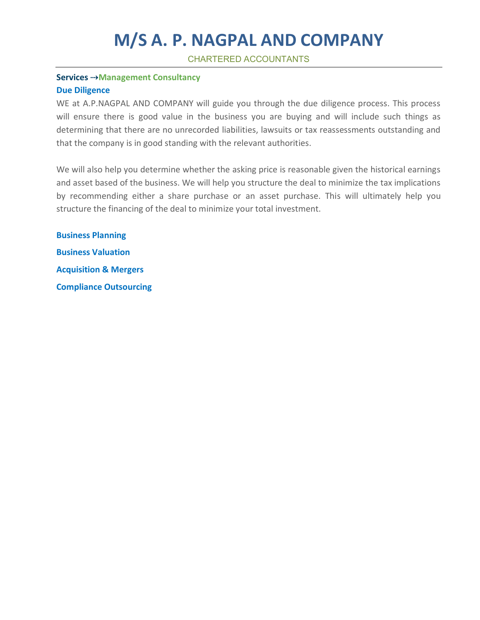CHARTERED ACCOUNTANTS

### **Services** ⇢**Management Consultancy Due Diligence**

WE at A.P.NAGPAL AND COMPANY will guide you through the due diligence process. This process will ensure there is good value in the business you are buying and will include such things as determining that there are no unrecorded liabilities, lawsuits or tax reassessments outstanding and that the company is in good standing with the relevant authorities.

We will also help you determine whether the asking price is reasonable given the historical earnings and asset based of the business. We will help you structure the deal to minimize the tax implications by recommending either a share purchase or an asset purchase. This will ultimately help you structure the financing of the deal to minimize your total investment.

**Business Planning Business Valuation Acquisition & Mergers Compliance Outsourcing**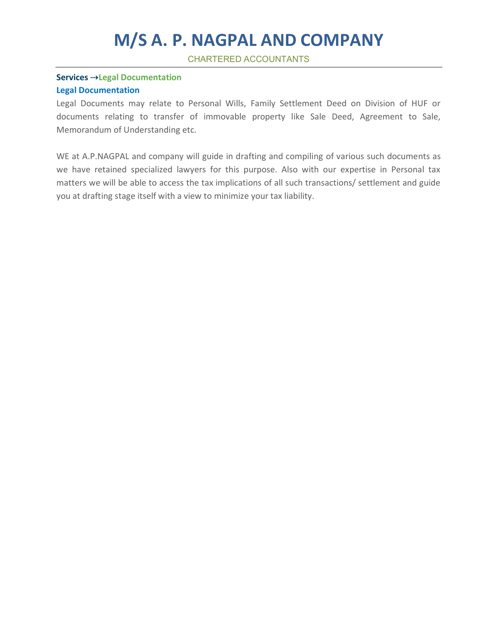CHARTERED ACCOUNTANTS

### **Services** ⇢**Legal Documentation Legal Documentation**

Legal Documents may relate to Personal Wills, Family Settlement Deed on Division of HUF or documents relating to transfer of immovable property like Sale Deed, Agreement to Sale, Memorandum of Understanding etc.

WE at A.P.NAGPAL and company will guide in drafting and compiling of various such documents as we have retained specialized lawyers for this purpose. Also with our expertise in Personal tax matters we will be able to access the tax implications of all such transactions/ settlement and guide you at drafting stage itself with a view to minimize your tax liability.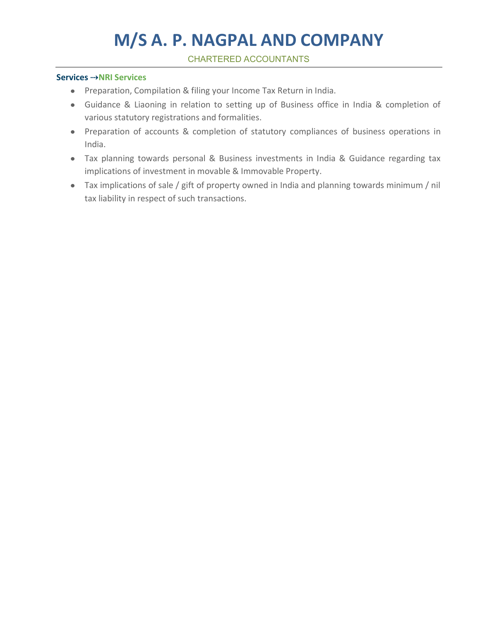### CHARTERED ACCOUNTANTS

### **Services** ⇢**NRI Services**

- Preparation, Compilation & filing your Income Tax Return in India.
- Guidance & Liaoning in relation to setting up of Business office in India & completion of various statutory registrations and formalities.
- Preparation of accounts & completion of statutory compliances of business operations in India.
- Tax planning towards personal & Business investments in India & Guidance regarding tax implications of investment in movable & Immovable Property.
- Tax implications of sale / gift of property owned in India and planning towards minimum / nil tax liability in respect of such transactions.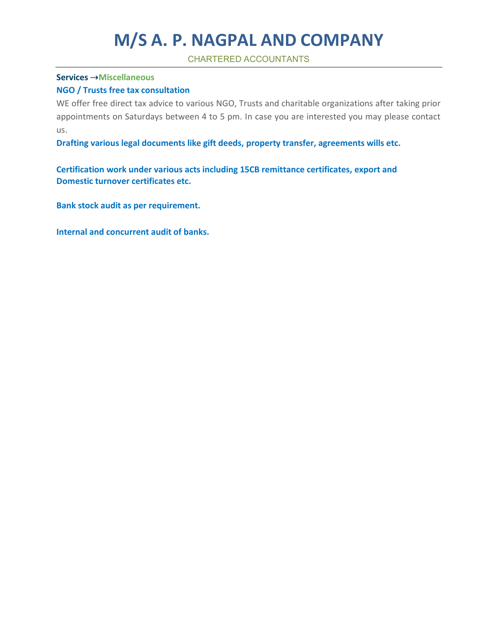CHARTERED ACCOUNTANTS

#### **Services** ⇢**Miscellaneous**

#### **NGO / Trusts free tax consultation**

WE offer free direct tax advice to various NGO, Trusts and charitable organizations after taking prior appointments on Saturdays between 4 to 5 pm. In case you are interested you may please contact us.

**Drafting various legal documents like gift deeds, property transfer, agreements wills etc.**

**Certification work under various acts including 15CB remittance certificates, export and Domestic turnover certificates etc.**

**Bank stock audit as per requirement.**

**Internal and concurrent audit of banks.**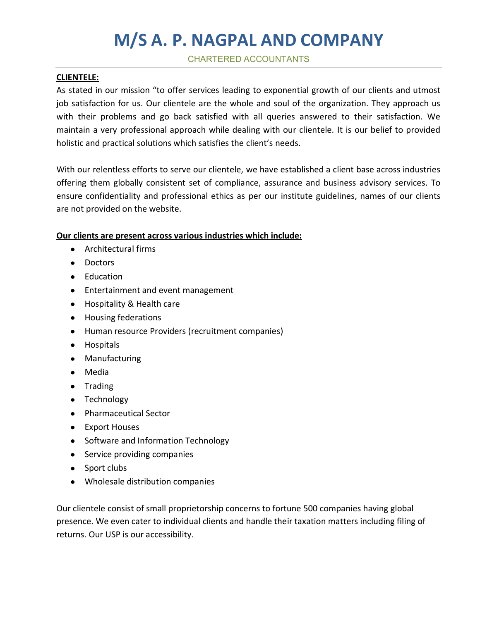CHARTERED ACCOUNTANTS

### **CLIENTELE:**

As stated in our mission "to offer services leading to exponential growth of our clients and utmost job satisfaction for us. Our clientele are the whole and soul of the organization. They approach us with their problems and go back satisfied with all queries answered to their satisfaction. We maintain a very professional approach while dealing with our clientele. It is our belief to provided holistic and practical solutions which satisfies the client's needs.

With our relentless efforts to serve our clientele, we have established a client base across industries offering them globally consistent set of compliance, assurance and business advisory services. To ensure confidentiality and professional ethics as per our institute guidelines, names of our clients are not provided on the website.

#### **Our clients are present across various industries which include:**

- Architectural firms
- Doctors
- Education
- Entertainment and event management
- Hospitality & Health care
- Housing federations
- Human resource Providers (recruitment companies)
- Hospitals
- Manufacturing
- Media
- Trading
- Technology
- Pharmaceutical Sector
- Export Houses
- Software and Information Technology
- Service providing companies
- Sport clubs
- Wholesale distribution companies

Our clientele consist of small proprietorship concerns to fortune 500 companies having global presence. We even cater to individual clients and handle their taxation matters including filing of returns. Our USP is our accessibility.